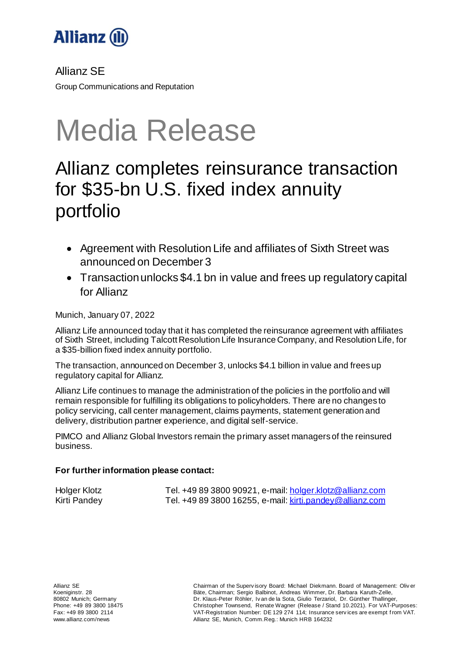

Allianz SE

Group Communications and Reputation

# Media Release

## Allianz completes reinsurance transaction for \$35-bn U.S. fixed index annuity portfolio

- Agreement with Resolution Life and affiliates of Sixth Street was announced on December 3
- Transaction unlocks \$4.1 bn in value and frees up regulatory capital for Allianz

Munich, January 07, 2022

Allianz Life announced today that it has completed the reinsurance agreement with affiliates of Sixth Street, including Talcott Resolution Life Insurance Company, and Resolution Life, for a \$35-billion fixed index annuity portfolio.

The transaction, announced on December 3, unlocks \$4.1 billion in value and frees up regulatory capital for Allianz.

Allianz Life continues to manage the administration of the policies in the portfolio and will remain responsible for fulfilling its obligations to policyholders. There are no changes to policy servicing, call center management, claims payments, statement generation and delivery, distribution partner experience, and digital self-service.

PIMCO and Allianz Global Investors remain the primary asset managers of the reinsured business.

### **For further information please contact:**

Holger Klotz Tel. +49 89 3800 90921, e-mail: [holger.klotz@allianz.com](mailto:holger.klotz@allianz.com) Kirti Pandey Tel. +49 89 3800 16255, e-mail[: kirti.pandey@allianz.com](mailto:kirti.pandey@allianz.com)

Chairman of the Superv isory Board: Michael Diekmann. Board of Management: Oliv er Bäte, Chairman; Sergio Balbinot, Andreas Wimmer, Dr. Barbara Karuth-Zelle, Dr. Klaus-Peter Röhler, Iv an de la Sota, Giulio Terzariol, Dr. Günther Thallinger, Christopher Townsend, Renate Wagner (Release / Stand 10.2021). For VAT-Purposes: VAT-Registration Number: DE 129 274 114; Insurance serv ices are exempt f rom VAT. Allianz SE, Munich, Comm.Reg.: Munich HRB 164232